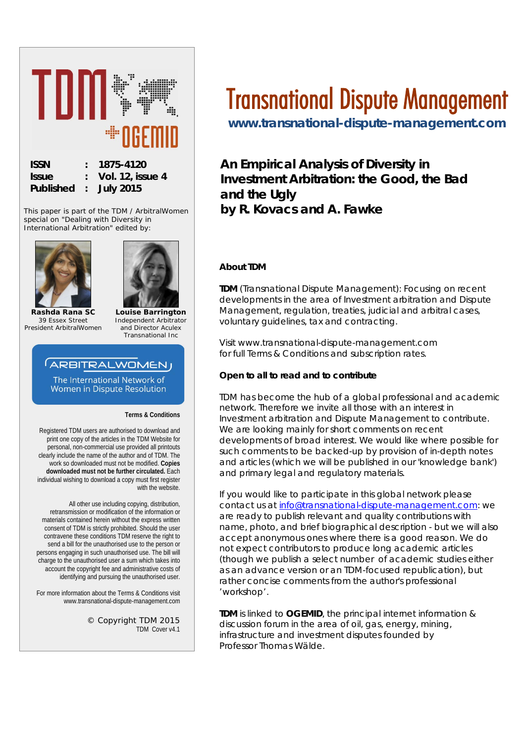

This paper is part of the TDM / ArbitralWomen special on "*Dealing with Diversity in International Arbitration*" edited by:





**Rashda Rana SC** *39 Essex Street President ArbitralWomen*

**Louise Barrington** *Independent Arbitrator and Director Aculex Transnational Inc*

# **ARBITRALWOMENJ**

The International Network of Women in Dispute Resolution

**Terms & Conditions**

Registered TDM users are authorised to download and print one copy of the articles in the TDM Website for personal, non-commercial use provided all printouts clearly include the name of the author and of TDM. The work so downloaded must not be modified. **Copies downloaded must not be further circulated.** Each individual wishing to download a copy must first register with the website.

All other use including copying, distribution, retransmission or modification of the information or materials contained herein without the express written consent of TDM is strictly prohibited. Should the user contravene these conditions TDM reserve the right to send a bill for the unauthorised use to the person or persons engaging in such unauthorised use. The bill will charge to the unauthorised user a sum which takes into account the copyright fee and administrative costs of identifying and pursuing the unauthorised user.

For more information about the Terms & Conditions visit www.transnational-dispute-management.com

> © Copyright TDM 2015 TDM Cover v4.1

# Transnational Dispute Management

**[www.transnational-dispute-management.com](http://www.transnational-dispute-management.com/)** 

**An Empirical Analysis of Diversity in Investment Arbitration: the Good, the Bad and the Ugly by R. Kovacs and A. Fawke**

### **About TDM**

**TDM** (Transnational Dispute Management): Focusing on recent developments in the area of Investment arbitration and Dispute Management, regulation, treaties, judicial and arbitral cases, voluntary guidelines, tax and contracting.

Visit www.transnational-dispute-management.com for full Terms & Conditions and subscription rates.

#### **Open to all to read and to contribute**

TDM has become the hub of a global professional and academic network. Therefore we invite all those with an interest in Investment arbitration and Dispute Management to contribute. We are looking mainly for short comments on recent developments of broad interest. We would like where possible for such comments to be backed-up by provision of in-depth notes and articles (which we will be published in our 'knowledge bank') and primary legal and regulatory materials.

If you would like to participate in this global network please contact us at [info@transnational-dispute-management.com:](mailto:info@transnational-dispute-management.com) we are ready to publish relevant and quality contributions with name, photo, and brief biographical description - but we will also accept anonymous ones where there is a good reason. We do not expect contributors to produce long academic articles (though we publish a select number of academic studies either as an advance version or an TDM-focused republication), but rather concise comments from the author's professional 'workshop'.

**TDM** is linked to **OGEMID**, the principal internet information & discussion forum in the area of oil, gas, energy, mining, infrastructure and investment disputes founded by Professor Thomas Wälde.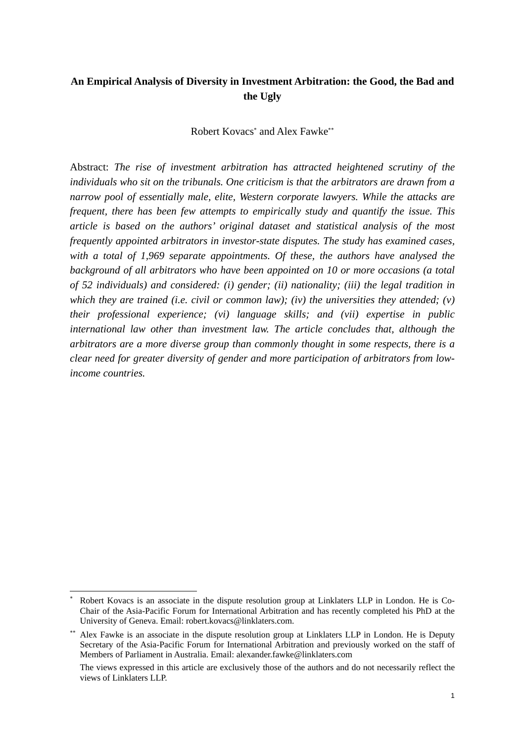# **An Empirical Analysis of Diversity in Investment Arbitration: the Good, the Bad and the Ugly**

Robert Kovacs\* and Alex Fawke\*\*

Abstract: *The rise of investment arbitration has attracted heightened scrutiny of the individuals who sit on the tribunals. One criticism is that the arbitrators are drawn from a narrow pool of essentially male, elite, Western corporate lawyers. While the attacks are frequent, there has been few attempts to empirically study and quantify the issue. This article is based on the authors' original dataset and statistical analysis of the most frequently appointed arbitrators in investor-state disputes. The study has examined cases, with a total of 1,969 separate appointments. Of these, the authors have analysed the background of all arbitrators who have been appointed on 10 or more occasions (a total of 52 individuals) and considered: (i) gender; (ii) nationality; (iii) the legal tradition in which they are trained (i.e. civil or common law); (iv) the universities they attended; (v) their professional experience; (vi) language skills; and (vii) expertise in public*  international law other than investment law. The article concludes that, although the *arbitrators are a more diverse group than commonly thought in some respects, there is a clear need for greater diversity of gender and more participation of arbitrators from lowincome countries.* 

Robert Kovacs is an associate in the dispute resolution group at Linklaters LLP in London. He is Co-Chair of the Asia-Pacific Forum for International Arbitration and has recently completed his PhD at the University of Geneva. Email: robert.kovacs@linklaters.com.

Alex Fawke is an associate in the dispute resolution group at Linklaters LLP in London. He is Deputy Secretary of the Asia-Pacific Forum for International Arbitration and previously worked on the staff of Members of Parliament in Australia. Email: alexander.fawke@linklaters.com

The views expressed in this article are exclusively those of the authors and do not necessarily reflect the views of Linklaters LLP.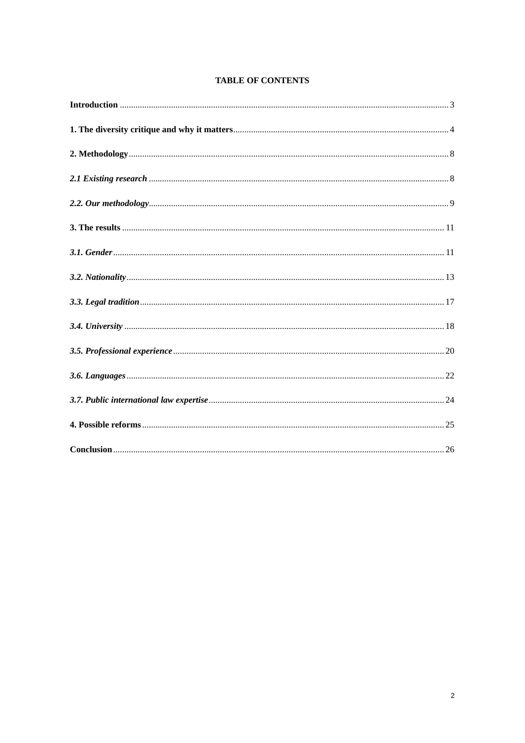#### **TABLE OF CONTENTS**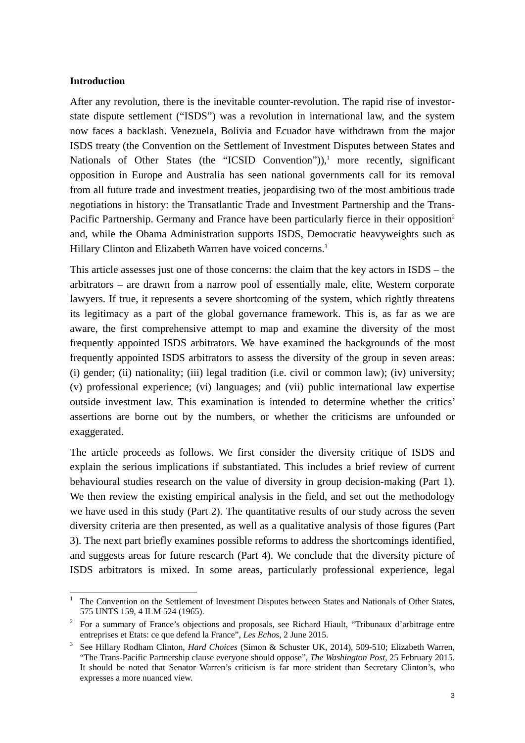#### **Introduction**

l

After any revolution, there is the inevitable counter-revolution. The rapid rise of investorstate dispute settlement ("ISDS") was a revolution in international law, and the system now faces a backlash. Venezuela, Bolivia and Ecuador have withdrawn from the major ISDS treaty (the Convention on the Settlement of Investment Disputes between States and Nationals of Other States (the "ICSID Convention")),<sup>1</sup> more recently, significant opposition in Europe and Australia has seen national governments call for its removal from all future trade and investment treaties, jeopardising two of the most ambitious trade negotiations in history: the Transatlantic Trade and Investment Partnership and the Trans-Pacific Partnership. Germany and France have been particularly fierce in their opposition<sup>2</sup> and, while the Obama Administration supports ISDS, Democratic heavyweights such as Hillary Clinton and Elizabeth Warren have voiced concerns.<sup>3</sup>

This article assesses just one of those concerns: the claim that the key actors in ISDS – the arbitrators – are drawn from a narrow pool of essentially male, elite, Western corporate lawyers. If true, it represents a severe shortcoming of the system, which rightly threatens its legitimacy as a part of the global governance framework. This is, as far as we are aware, the first comprehensive attempt to map and examine the diversity of the most frequently appointed ISDS arbitrators. We have examined the backgrounds of the most frequently appointed ISDS arbitrators to assess the diversity of the group in seven areas: (i) gender; (ii) nationality; (iii) legal tradition (i.e. civil or common law); (iv) university; (v) professional experience; (vi) languages; and (vii) public international law expertise outside investment law. This examination is intended to determine whether the critics' assertions are borne out by the numbers, or whether the criticisms are unfounded or exaggerated.

The article proceeds as follows. We first consider the diversity critique of ISDS and explain the serious implications if substantiated. This includes a brief review of current behavioural studies research on the value of diversity in group decision-making (Part 1). We then review the existing empirical analysis in the field, and set out the methodology we have used in this study (Part 2). The quantitative results of our study across the seven diversity criteria are then presented, as well as a qualitative analysis of those figures (Part 3). The next part briefly examines possible reforms to address the shortcomings identified, and suggests areas for future research (Part 4). We conclude that the diversity picture of ISDS arbitrators is mixed. In some areas, particularly professional experience, legal

<sup>&</sup>lt;sup>1</sup> The Convention on the Settlement of Investment Disputes between States and Nationals of Other States, 575 UNTS 159, 4 ILM 524 (1965).

<sup>&</sup>lt;sup>2</sup> For a summary of France's objections and proposals, see Richard Hiault, "Tribunaux d'arbitrage entre entreprises et Etats: ce que defend la France", *Les Echos*, 2 June 2015.

See Hillary Rodham Clinton, *Hard Choices* (Simon & Schuster UK, 2014), 509-510; Elizabeth Warren, "The Trans-Pacific Partnership clause everyone should oppose", *The Washington Post*, 25 February 2015. It should be noted that Senator Warren's criticism is far more strident than Secretary Clinton's, who expresses a more nuanced view.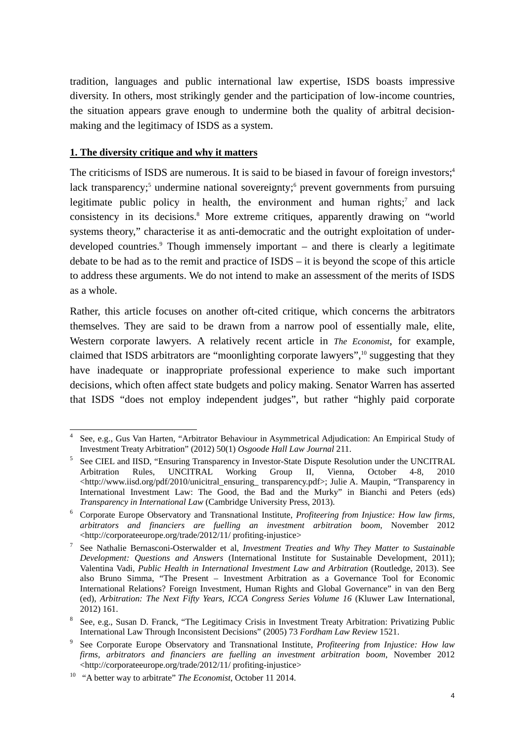tradition, languages and public international law expertise, ISDS boasts impressive diversity. In others, most strikingly gender and the participation of low-income countries, the situation appears grave enough to undermine both the quality of arbitral decisionmaking and the legitimacy of ISDS as a system.

## **1. The diversity critique and why it matters**

The criticisms of ISDS are numerous. It is said to be biased in favour of foreign investors;<sup>4</sup> lack transparency;<sup>5</sup> undermine national sovereignty;<sup>6</sup> prevent governments from pursuing legitimate public policy in health, the environment and human rights;<sup>7</sup> and lack consistency in its decisions.<sup>8</sup> More extreme critiques, apparently drawing on "world systems theory," characterise it as anti-democratic and the outright exploitation of underdeveloped countries.<sup>9</sup> Though immensely important – and there is clearly a legitimate debate to be had as to the remit and practice of ISDS – it is beyond the scope of this article to address these arguments. We do not intend to make an assessment of the merits of ISDS as a whole.

Rather, this article focuses on another oft-cited critique, which concerns the arbitrators themselves. They are said to be drawn from a narrow pool of essentially male, elite, Western corporate lawyers. A relatively recent article in *The Economist*, for example, claimed that ISDS arbitrators are "moonlighting corporate lawyers",<sup>10</sup> suggesting that they have inadequate or inappropriate professional experience to make such important decisions, which often affect state budgets and policy making. Senator Warren has asserted that ISDS "does not employ independent judges", but rather "highly paid corporate

l 4 See, e.g., Gus Van Harten, "Arbitrator Behaviour in Asymmetrical Adjudication: An Empirical Study of Investment Treaty Arbitration" (2012) 50(1) *Osgoode Hall Law Journal* 211.

See CIEL and IISD, "Ensuring Transparency in Investor-State Dispute Resolution under the UNCITRAL Arbitration Rules, UNCITRAL Working Group II, Vienna, October 4-8, 2010 <http://www.iisd.org/pdf/2010/unicitral\_ensuring\_transparency.pdf>; Julie A. Maupin, "Transparency in International Investment Law: The Good, the Bad and the Murky" in Bianchi and Peters (eds) *Transparency in International Law* (Cambridge University Press, 2013).

Corporate Europe Observatory and Transnational Institute, *Profiteering from Injustice: How law firms, arbitrators and financiers are fuelling an investment arbitration boom*, November 2012 <http://corporateeurope.org/trade/2012/11/ profiting-injustice> 7

See Nathalie Bernasconi-Osterwalder et al, *Investment Treaties and Why They Matter to Sustainable Development: Questions and Answers* (International Institute for Sustainable Development, 2011); Valentina Vadi, *Public Health in International Investment Law and Arbitration* (Routledge, 2013). See also Bruno Simma, "The Present – Investment Arbitration as a Governance Tool for Economic International Relations? Foreign Investment, Human Rights and Global Governance" in van den Berg (ed), *Arbitration: The Next Fifty Years, ICCA Congress Series Volume 16* (Kluwer Law International, 2012) 161.

<sup>&</sup>lt;sup>8</sup> See, e.g., Susan D. Franck, "The Legitimacy Crisis in Investment Treaty Arbitration: Privatizing Public International Law Through Inconsistent Decisions" (2005) 73 *Fordham Law Review* 1521.

See Corporate Europe Observatory and Transnational Institute, *Profiteering from Injustice: How law firms, arbitrators and financiers are fuelling an investment arbitration boom*, November 2012 <http://corporateeurope.org/trade/2012/11/ profiting-injustice> 10 "A better way to arbitrate" *The Economist*, October 11 2014.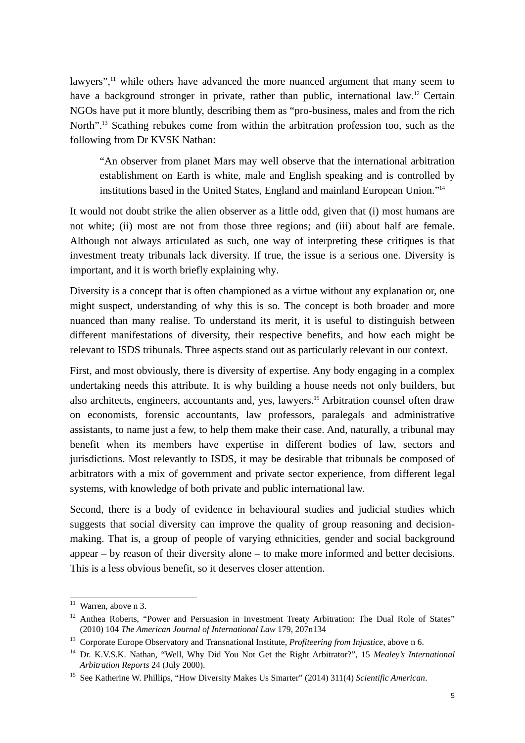lawyers",<sup>11</sup> while others have advanced the more nuanced argument that many seem to have a background stronger in private, rather than public, international law.<sup>12</sup> Certain NGOs have put it more bluntly, describing them as "pro-business, males and from the rich North".<sup>13</sup> Scathing rebukes come from within the arbitration profession too, such as the following from Dr KVSK Nathan:

"An observer from planet Mars may well observe that the international arbitration establishment on Earth is white, male and English speaking and is controlled by institutions based in the United States, England and mainland European Union."14

It would not doubt strike the alien observer as a little odd, given that (i) most humans are not white; (ii) most are not from those three regions; and (iii) about half are female. Although not always articulated as such, one way of interpreting these critiques is that investment treaty tribunals lack diversity. If true, the issue is a serious one. Diversity is important, and it is worth briefly explaining why.

Diversity is a concept that is often championed as a virtue without any explanation or, one might suspect, understanding of why this is so. The concept is both broader and more nuanced than many realise. To understand its merit, it is useful to distinguish between different manifestations of diversity, their respective benefits, and how each might be relevant to ISDS tribunals. Three aspects stand out as particularly relevant in our context.

First, and most obviously, there is diversity of expertise. Any body engaging in a complex undertaking needs this attribute. It is why building a house needs not only builders, but also architects, engineers, accountants and, yes, lawyers.15 Arbitration counsel often draw on economists, forensic accountants, law professors, paralegals and administrative assistants, to name just a few, to help them make their case. And, naturally, a tribunal may benefit when its members have expertise in different bodies of law, sectors and jurisdictions. Most relevantly to ISDS, it may be desirable that tribunals be composed of arbitrators with a mix of government and private sector experience, from different legal systems, with knowledge of both private and public international law.

Second, there is a body of evidence in behavioural studies and judicial studies which suggests that social diversity can improve the quality of group reasoning and decisionmaking. That is, a group of people of varying ethnicities, gender and social background appear – by reason of their diversity alone – to make more informed and better decisions. This is a less obvious benefit, so it deserves closer attention.

 $11$  Warren, above n 3.

<sup>&</sup>lt;sup>12</sup> Anthea Roberts, "Power and Persuasion in Investment Treaty Arbitration: The Dual Role of States" (2010) 104 *The American Journal of International Law* 179, 207n134 13 Corporate Europe Observatory and Transnational Institute, *Profiteering from Injustice*, above n 6.

<sup>14</sup> Dr. K.V.S.K. Nathan, "Well, Why Did You Not Get the Right Arbitrator?", 15 *Mealey's International Arbitration Reports* 24 (July 2000). 15 See Katherine W. Phillips, "How Diversity Makes Us Smarter" (2014) 311(4) *Scientific American*.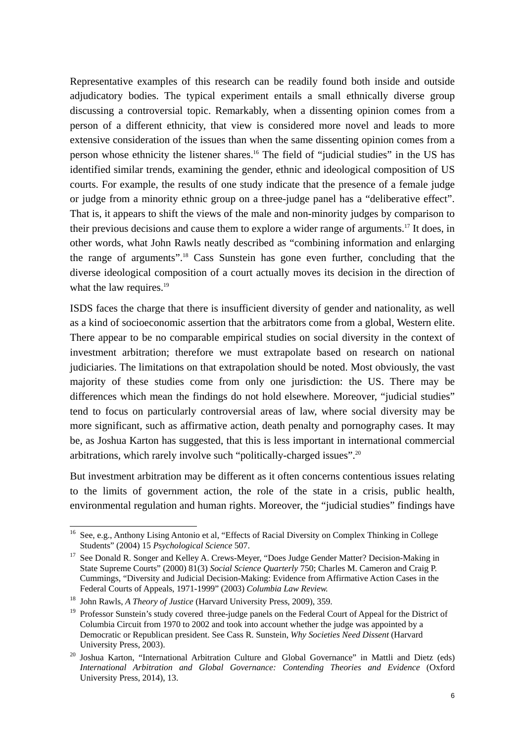Representative examples of this research can be readily found both inside and outside adjudicatory bodies. The typical experiment entails a small ethnically diverse group discussing a controversial topic. Remarkably, when a dissenting opinion comes from a person of a different ethnicity, that view is considered more novel and leads to more extensive consideration of the issues than when the same dissenting opinion comes from a person whose ethnicity the listener shares.16 The field of "judicial studies" in the US has identified similar trends, examining the gender, ethnic and ideological composition of US courts. For example, the results of one study indicate that the presence of a female judge or judge from a minority ethnic group on a three-judge panel has a "deliberative effect". That is, it appears to shift the views of the male and non-minority judges by comparison to their previous decisions and cause them to explore a wider range of arguments.17 It does, in other words, what John Rawls neatly described as "combining information and enlarging the range of arguments".18 Cass Sunstein has gone even further, concluding that the diverse ideological composition of a court actually moves its decision in the direction of what the law requires.<sup>19</sup>

ISDS faces the charge that there is insufficient diversity of gender and nationality, as well as a kind of socioeconomic assertion that the arbitrators come from a global, Western elite. There appear to be no comparable empirical studies on social diversity in the context of investment arbitration; therefore we must extrapolate based on research on national judiciaries. The limitations on that extrapolation should be noted. Most obviously, the vast majority of these studies come from only one jurisdiction: the US. There may be differences which mean the findings do not hold elsewhere. Moreover, "judicial studies" tend to focus on particularly controversial areas of law, where social diversity may be more significant, such as affirmative action, death penalty and pornography cases. It may be, as Joshua Karton has suggested, that this is less important in international commercial arbitrations, which rarely involve such "politically-charged issues".20

But investment arbitration may be different as it often concerns contentious issues relating to the limits of government action, the role of the state in a crisis, public health, environmental regulation and human rights. Moreover, the "judicial studies" findings have

<sup>&</sup>lt;sup>16</sup> See, e.g., Anthony Lising Antonio et al, "Effects of Racial Diversity on Complex Thinking in College Students" (2004) 15 *Psychological Science* 507.

<sup>&</sup>lt;sup>17</sup> See Donald R. Songer and Kelley A. Crews-Meyer, "Does Judge Gender Matter? Decision-Making in State Supreme Courts" (2000) 81(3) *Social Science Quarterly* 750; Charles M. Cameron and Craig P. Cummings, "Diversity and Judicial Decision-Making: Evidence from Affirmative Action Cases in the Federal Courts of Appeals, 1971-1999" (2003) *Columbia Law Review.*

<sup>18</sup> John Rawls, *A Theory of Justice* (Harvard University Press, 2009), 359.

<sup>&</sup>lt;sup>19</sup> Professor Sunstein's study covered three-judge panels on the Federal Court of Appeal for the District of Columbia Circuit from 1970 to 2002 and took into account whether the judge was appointed by a Democratic or Republican president. See Cass R. Sunstein, *Why Societies Need Dissent* (Harvard University Press, 2003).

<sup>&</sup>lt;sup>20</sup> Joshua Karton, "International Arbitration Culture and Global Governance" in Mattli and Dietz (eds) *International Arbitration and Global Governance: Contending Theories and Evidence* (Oxford University Press, 2014), 13.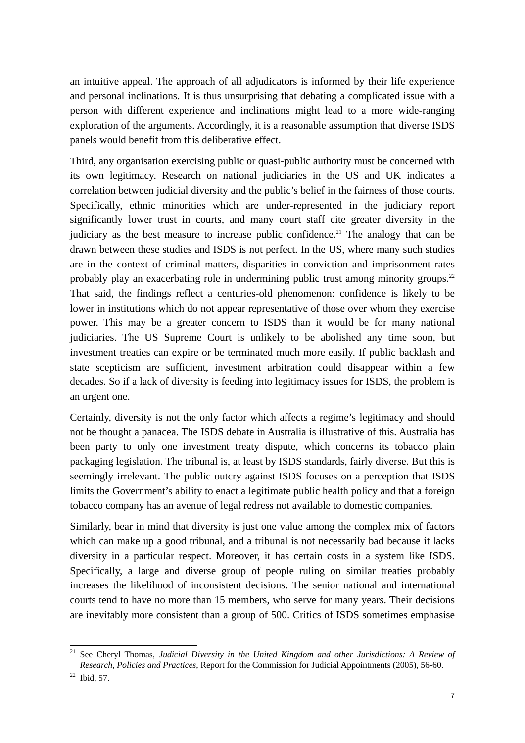an intuitive appeal. The approach of all adjudicators is informed by their life experience and personal inclinations. It is thus unsurprising that debating a complicated issue with a person with different experience and inclinations might lead to a more wide-ranging exploration of the arguments. Accordingly, it is a reasonable assumption that diverse ISDS panels would benefit from this deliberative effect.

Third, any organisation exercising public or quasi-public authority must be concerned with its own legitimacy. Research on national judiciaries in the US and UK indicates a correlation between judicial diversity and the public's belief in the fairness of those courts. Specifically, ethnic minorities which are under-represented in the judiciary report significantly lower trust in courts, and many court staff cite greater diversity in the judiciary as the best measure to increase public confidence.<sup>21</sup> The analogy that can be drawn between these studies and ISDS is not perfect. In the US, where many such studies are in the context of criminal matters, disparities in conviction and imprisonment rates probably play an exacerbating role in undermining public trust among minority groups.<sup>22</sup> That said, the findings reflect a centuries-old phenomenon: confidence is likely to be lower in institutions which do not appear representative of those over whom they exercise power. This may be a greater concern to ISDS than it would be for many national judiciaries. The US Supreme Court is unlikely to be abolished any time soon, but investment treaties can expire or be terminated much more easily. If public backlash and state scepticism are sufficient, investment arbitration could disappear within a few decades. So if a lack of diversity is feeding into legitimacy issues for ISDS, the problem is an urgent one.

Certainly, diversity is not the only factor which affects a regime's legitimacy and should not be thought a panacea. The ISDS debate in Australia is illustrative of this. Australia has been party to only one investment treaty dispute, which concerns its tobacco plain packaging legislation. The tribunal is, at least by ISDS standards, fairly diverse. But this is seemingly irrelevant. The public outcry against ISDS focuses on a perception that ISDS limits the Government's ability to enact a legitimate public health policy and that a foreign tobacco company has an avenue of legal redress not available to domestic companies.

Similarly, bear in mind that diversity is just one value among the complex mix of factors which can make up a good tribunal, and a tribunal is not necessarily bad because it lacks diversity in a particular respect. Moreover, it has certain costs in a system like ISDS. Specifically, a large and diverse group of people ruling on similar treaties probably increases the likelihood of inconsistent decisions. The senior national and international courts tend to have no more than 15 members, who serve for many years. Their decisions are inevitably more consistent than a group of 500. Critics of ISDS sometimes emphasise

<sup>21</sup> See Cheryl Thomas, *Judicial Diversity in the United Kingdom and other Jurisdictions: A Review of Research, Policies and Practices*, Report for the Commission for Judicial Appointments (2005), 56-60. 22 Ibid, 57.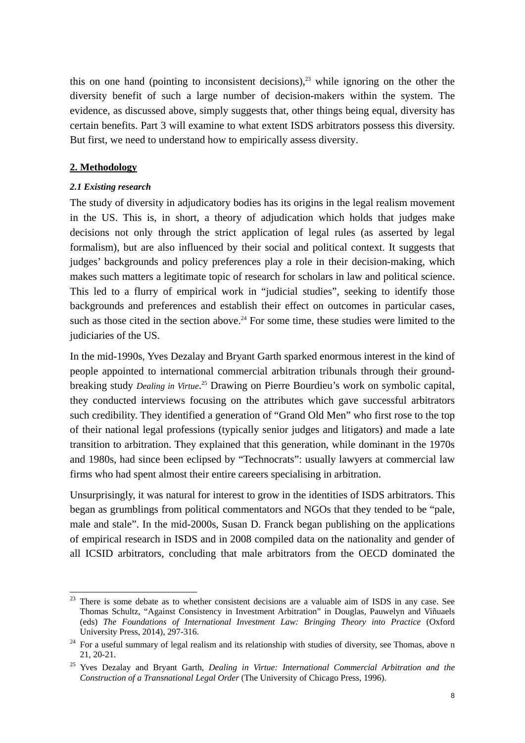this on one hand (pointing to inconsistent decisions), $23$  while ignoring on the other the diversity benefit of such a large number of decision-makers within the system. The evidence, as discussed above, simply suggests that, other things being equal, diversity has certain benefits. Part 3 will examine to what extent ISDS arbitrators possess this diversity. But first, we need to understand how to empirically assess diversity.

#### **2. Methodology**

l

### *2.1 Existing research*

The study of diversity in adjudicatory bodies has its origins in the legal realism movement in the US. This is, in short, a theory of adjudication which holds that judges make decisions not only through the strict application of legal rules (as asserted by legal formalism), but are also influenced by their social and political context. It suggests that judges' backgrounds and policy preferences play a role in their decision-making, which makes such matters a legitimate topic of research for scholars in law and political science. This led to a flurry of empirical work in "judicial studies", seeking to identify those backgrounds and preferences and establish their effect on outcomes in particular cases, such as those cited in the section above.<sup>24</sup> For some time, these studies were limited to the judiciaries of the US.

In the mid-1990s, Yves Dezalay and Bryant Garth sparked enormous interest in the kind of people appointed to international commercial arbitration tribunals through their groundbreaking study *Dealing in Virtue*. 25 Drawing on Pierre Bourdieu's work on symbolic capital, they conducted interviews focusing on the attributes which gave successful arbitrators such credibility. They identified a generation of "Grand Old Men" who first rose to the top of their national legal professions (typically senior judges and litigators) and made a late transition to arbitration. They explained that this generation, while dominant in the 1970s and 1980s, had since been eclipsed by "Technocrats": usually lawyers at commercial law firms who had spent almost their entire careers specialising in arbitration.

Unsurprisingly, it was natural for interest to grow in the identities of ISDS arbitrators. This began as grumblings from political commentators and NGOs that they tended to be "pale, male and stale". In the mid-2000s, Susan D. Franck began publishing on the applications of empirical research in ISDS and in 2008 compiled data on the nationality and gender of all ICSID arbitrators, concluding that male arbitrators from the OECD dominated the

 $23$  There is some debate as to whether consistent decisions are a valuable aim of ISDS in any case. See Thomas Schultz, "Against Consistency in Investment Arbitration" in Douglas, Pauwelyn and Viñuaels (eds) *The Foundations of International Investment Law: Bringing Theory into Practice* (Oxford

University Press, 2014), 297-316.<br><sup>24</sup> For a useful summary of legal realism and its relationship with studies of diversity, see Thomas, above n 21, 20-21.

<sup>25</sup> Yves Dezalay and Bryant Garth, *Dealing in Virtue: International Commercial Arbitration and the Construction of a Transnational Legal Order* (The University of Chicago Press, 1996).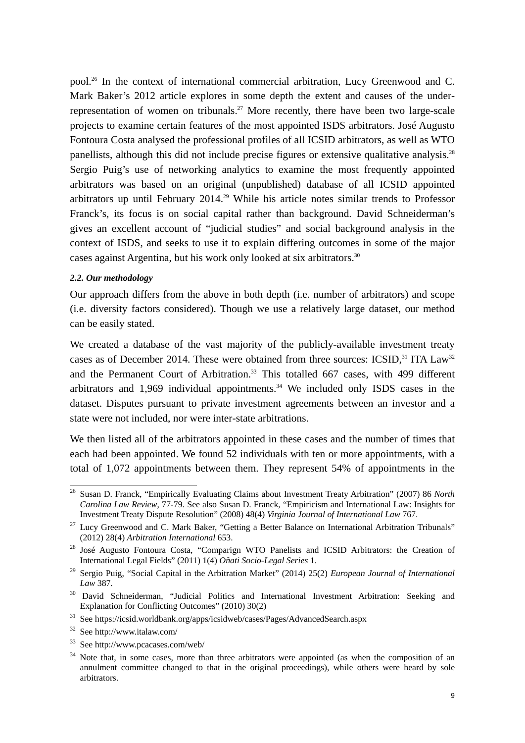pool.26 In the context of international commercial arbitration, Lucy Greenwood and C. Mark Baker's 2012 article explores in some depth the extent and causes of the underrepresentation of women on tribunals.<sup>27</sup> More recently, there have been two large-scale projects to examine certain features of the most appointed ISDS arbitrators. José Augusto Fontoura Costa analysed the professional profiles of all ICSID arbitrators, as well as WTO panellists, although this did not include precise figures or extensive qualitative analysis.<sup>28</sup> Sergio Puig's use of networking analytics to examine the most frequently appointed arbitrators was based on an original (unpublished) database of all ICSID appointed arbitrators up until February 2014.<sup>29</sup> While his article notes similar trends to Professor Franck's, its focus is on social capital rather than background. David Schneiderman's gives an excellent account of "judicial studies" and social background analysis in the context of ISDS, and seeks to use it to explain differing outcomes in some of the major cases against Argentina, but his work only looked at six arbitrators.<sup>30</sup>

#### *2.2. Our methodology*

Our approach differs from the above in both depth (i.e. number of arbitrators) and scope (i.e. diversity factors considered). Though we use a relatively large dataset, our method can be easily stated.

We created a database of the vast majority of the publicly-available investment treaty cases as of December 2014. These were obtained from three sources: ICSID, $31$  ITA Law<sup>32</sup> and the Permanent Court of Arbitration.<sup>33</sup> This totalled 667 cases, with 499 different arbitrators and  $1,969$  individual appointments.<sup>34</sup> We included only ISDS cases in the dataset. Disputes pursuant to private investment agreements between an investor and a state were not included, nor were inter-state arbitrations.

We then listed all of the arbitrators appointed in these cases and the number of times that each had been appointed. We found 52 individuals with ten or more appointments, with a total of 1,072 appointments between them. They represent 54% of appointments in the

33 See http://www.pcacases.com/web/

 $26\,$ 26 Susan D. Franck, "Empirically Evaluating Claims about Investment Treaty Arbitration" (2007) 86 *North Carolina Law Review*, 77-79. See also Susan D. Franck, "Empiricism and International Law: Insights for Investment Treaty Dispute Resolution" (2008) 48(4) *Virginia Journal of International Law* 767.

<sup>&</sup>lt;sup>27</sup> Lucy Greenwood and C. Mark Baker, "Getting a Better Balance on International Arbitration Tribunals" (2012) 28(4) *Arbitration International* 653.

<sup>&</sup>lt;sup>28</sup> José Augusto Fontoura Costa, "Comparign WTO Panelists and ICSID Arbitrators: the Creation of International Legal Fields" (2011) 1(4) *Oñati Socio-Legal Series* 1.

<sup>29</sup> Sergio Puig, "Social Capital in the Arbitration Market" (2014) 25(2) *European Journal of International Law* 387.

<sup>&</sup>lt;sup>30</sup> David Schneiderman, "Judicial Politics and International Investment Arbitration: Seeking and Explanation for Conflicting Outcomes" (2010) 30(2)

<sup>&</sup>lt;sup>31</sup> See https://icsid.worldbank.org/apps/icsidweb/cases/Pages/AdvancedSearch.aspx 32 See http://www.italaw.com/

<sup>&</sup>lt;sup>34</sup> Note that, in some cases, more than three arbitrators were appointed (as when the composition of an annulment committee changed to that in the original proceedings), while others were heard by sole arbitrators.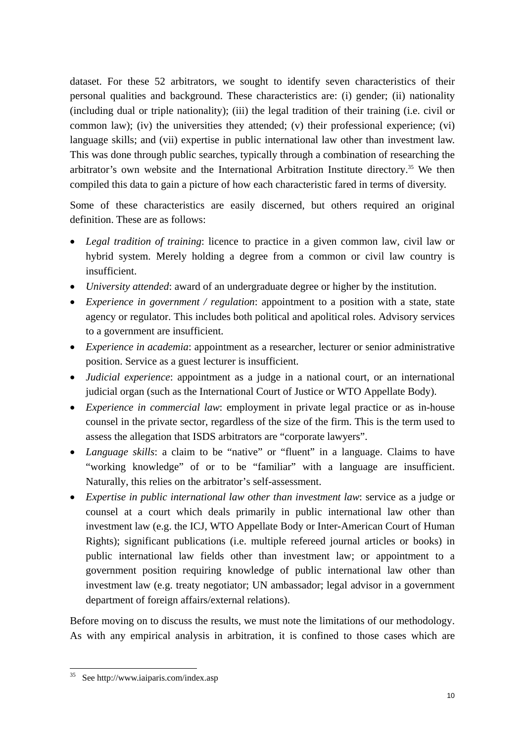dataset. For these 52 arbitrators, we sought to identify seven characteristics of their personal qualities and background. These characteristics are: (i) gender; (ii) nationality (including dual or triple nationality); (iii) the legal tradition of their training (i.e. civil or common law); (iv) the universities they attended; (v) their professional experience; (vi) language skills; and (vii) expertise in public international law other than investment law. This was done through public searches, typically through a combination of researching the arbitrator's own website and the International Arbitration Institute directory.<sup>35</sup> We then compiled this data to gain a picture of how each characteristic fared in terms of diversity.

Some of these characteristics are easily discerned, but others required an original definition. These are as follows:

- *Legal tradition of training*: licence to practice in a given common law, civil law or hybrid system. Merely holding a degree from a common or civil law country is insufficient.
- *University attended*: award of an undergraduate degree or higher by the institution.
- *Experience in government / regulation*: appointment to a position with a state, state agency or regulator. This includes both political and apolitical roles. Advisory services to a government are insufficient.
- *Experience in academia*: appointment as a researcher, lecturer or senior administrative position. Service as a guest lecturer is insufficient.
- *Judicial experience*: appointment as a judge in a national court, or an international judicial organ (such as the International Court of Justice or WTO Appellate Body).
- *Experience in commercial law*: employment in private legal practice or as in-house counsel in the private sector, regardless of the size of the firm. This is the term used to assess the allegation that ISDS arbitrators are "corporate lawyers".
- *Language skills*: a claim to be "native" or "fluent" in a language. Claims to have "working knowledge" of or to be "familiar" with a language are insufficient. Naturally, this relies on the arbitrator's self-assessment.
- *Expertise in public international law other than investment law*: service as a judge or counsel at a court which deals primarily in public international law other than investment law (e.g. the ICJ, WTO Appellate Body or Inter-American Court of Human Rights); significant publications (i.e. multiple refereed journal articles or books) in public international law fields other than investment law; or appointment to a government position requiring knowledge of public international law other than investment law (e.g. treaty negotiator; UN ambassador; legal advisor in a government department of foreign affairs/external relations).

Before moving on to discuss the results, we must note the limitations of our methodology. As with any empirical analysis in arbitration, it is confined to those cases which are

<sup>35</sup> See http://www.iaiparis.com/index.asp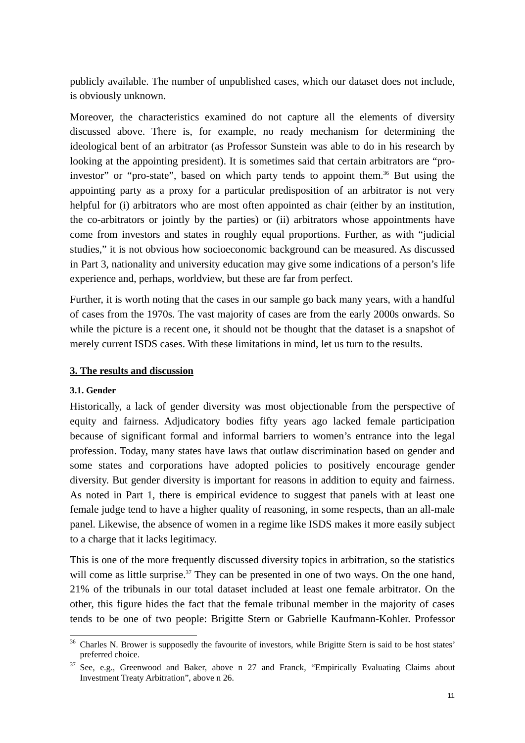publicly available. The number of unpublished cases, which our dataset does not include, is obviously unknown.

Moreover, the characteristics examined do not capture all the elements of diversity discussed above. There is, for example, no ready mechanism for determining the ideological bent of an arbitrator (as Professor Sunstein was able to do in his research by looking at the appointing president). It is sometimes said that certain arbitrators are "proinvestor" or "pro-state", based on which party tends to appoint them.<sup>36</sup> But using the appointing party as a proxy for a particular predisposition of an arbitrator is not very helpful for (i) arbitrators who are most often appointed as chair (either by an institution, the co-arbitrators or jointly by the parties) or (ii) arbitrators whose appointments have come from investors and states in roughly equal proportions. Further, as with "judicial studies," it is not obvious how socioeconomic background can be measured. As discussed in Part 3, nationality and university education may give some indications of a person's life experience and, perhaps, worldview, but these are far from perfect.

Further, it is worth noting that the cases in our sample go back many years, with a handful of cases from the 1970s. The vast majority of cases are from the early 2000s onwards. So while the picture is a recent one, it should not be thought that the dataset is a snapshot of merely current ISDS cases. With these limitations in mind, let us turn to the results.

### **3. The results and discussion**

#### **3.1. Gender**

Historically, a lack of gender diversity was most objectionable from the perspective of equity and fairness. Adjudicatory bodies fifty years ago lacked female participation because of significant formal and informal barriers to women's entrance into the legal profession. Today, many states have laws that outlaw discrimination based on gender and some states and corporations have adopted policies to positively encourage gender diversity. But gender diversity is important for reasons in addition to equity and fairness. As noted in Part 1, there is empirical evidence to suggest that panels with at least one female judge tend to have a higher quality of reasoning, in some respects, than an all-male panel. Likewise, the absence of women in a regime like ISDS makes it more easily subject to a charge that it lacks legitimacy.

This is one of the more frequently discussed diversity topics in arbitration, so the statistics will come as little surprise.<sup>37</sup> They can be presented in one of two ways. On the one hand, 21% of the tribunals in our total dataset included at least one female arbitrator. On the other, this figure hides the fact that the female tribunal member in the majority of cases tends to be one of two people: Brigitte Stern or Gabrielle Kaufmann-Kohler. Professor

l  $36$  Charles N. Brower is supposedly the favourite of investors, while Brigitte Stern is said to be host states' preferred choice.

See, e.g., Greenwood and Baker, above n 27 and Franck, "Empirically Evaluating Claims about Investment Treaty Arbitration", above n 26.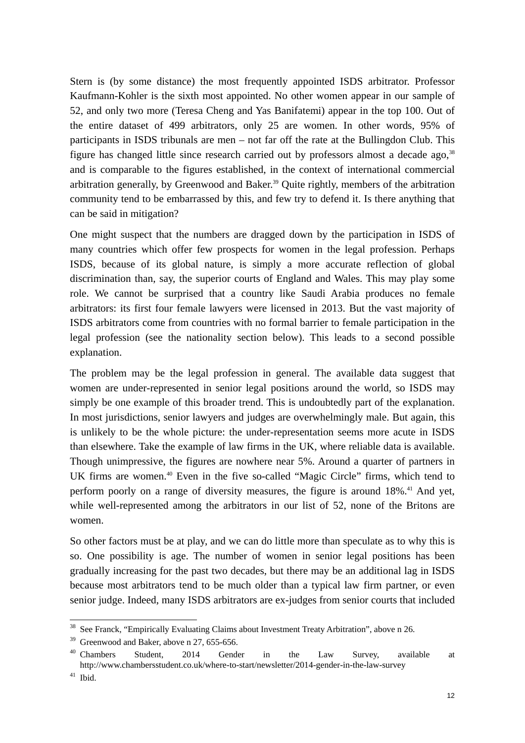Stern is (by some distance) the most frequently appointed ISDS arbitrator. Professor Kaufmann-Kohler is the sixth most appointed. No other women appear in our sample of 52, and only two more (Teresa Cheng and Yas Banifatemi) appear in the top 100. Out of the entire dataset of 499 arbitrators, only 25 are women. In other words, 95% of participants in ISDS tribunals are men – not far off the rate at the Bullingdon Club. This figure has changed little since research carried out by professors almost a decade ago,  $38$ and is comparable to the figures established, in the context of international commercial arbitration generally, by Greenwood and Baker.<sup>39</sup> Quite rightly, members of the arbitration community tend to be embarrassed by this, and few try to defend it. Is there anything that can be said in mitigation?

One might suspect that the numbers are dragged down by the participation in ISDS of many countries which offer few prospects for women in the legal profession. Perhaps ISDS, because of its global nature, is simply a more accurate reflection of global discrimination than, say, the superior courts of England and Wales. This may play some role. We cannot be surprised that a country like Saudi Arabia produces no female arbitrators: its first four female lawyers were licensed in 2013. But the vast majority of ISDS arbitrators come from countries with no formal barrier to female participation in the legal profession (see the nationality section below). This leads to a second possible explanation.

The problem may be the legal profession in general. The available data suggest that women are under-represented in senior legal positions around the world, so ISDS may simply be one example of this broader trend. This is undoubtedly part of the explanation. In most jurisdictions, senior lawyers and judges are overwhelmingly male. But again, this is unlikely to be the whole picture: the under-representation seems more acute in ISDS than elsewhere. Take the example of law firms in the UK, where reliable data is available. Though unimpressive, the figures are nowhere near 5%. Around a quarter of partners in UK firms are women.<sup>40</sup> Even in the five so-called "Magic Circle" firms, which tend to perform poorly on a range of diversity measures, the figure is around 18%.<sup>41</sup> And yet, while well-represented among the arbitrators in our list of 52, none of the Britons are women.

So other factors must be at play, and we can do little more than speculate as to why this is so. One possibility is age. The number of women in senior legal positions has been gradually increasing for the past two decades, but there may be an additional lag in ISDS because most arbitrators tend to be much older than a typical law firm partner, or even senior judge. Indeed, many ISDS arbitrators are ex-judges from senior courts that included

<sup>&</sup>lt;sup>38</sup> See Franck, "Empirically Evaluating Claims about Investment Treaty Arbitration", above n 26.

<sup>&</sup>lt;sup>39</sup> Greenwood and Baker, above n 27, 655-656.

<sup>&</sup>lt;sup>40</sup> Chambers Student, 2014 Gender in the Law Survey, available at http://www.chambersstudent.co.uk/where-to-start/newsletter/2014-gender-in-the-law-survey

<sup>41</sup> Ibid.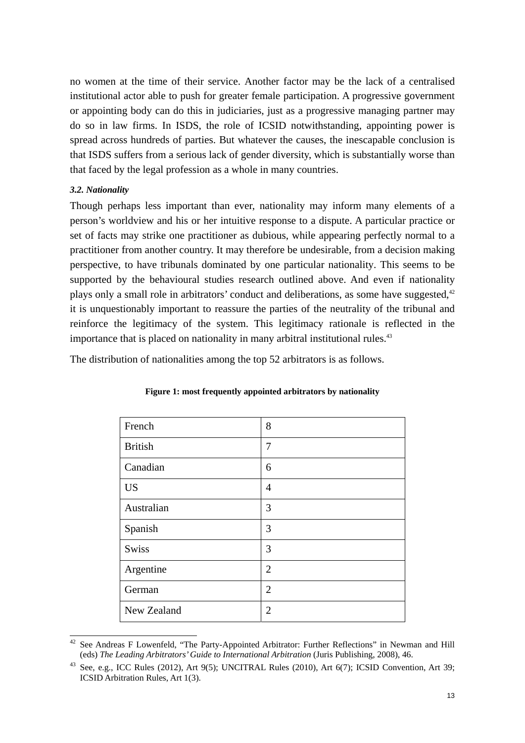no women at the time of their service. Another factor may be the lack of a centralised institutional actor able to push for greater female participation. A progressive government or appointing body can do this in judiciaries, just as a progressive managing partner may do so in law firms. In ISDS, the role of ICSID notwithstanding, appointing power is spread across hundreds of parties. But whatever the causes, the inescapable conclusion is that ISDS suffers from a serious lack of gender diversity, which is substantially worse than that faced by the legal profession as a whole in many countries.

### *3.2. Nationality*

l

Though perhaps less important than ever, nationality may inform many elements of a person's worldview and his or her intuitive response to a dispute. A particular practice or set of facts may strike one practitioner as dubious, while appearing perfectly normal to a practitioner from another country. It may therefore be undesirable, from a decision making perspective, to have tribunals dominated by one particular nationality. This seems to be supported by the behavioural studies research outlined above. And even if nationality plays only a small role in arbitrators' conduct and deliberations, as some have suggested, $42$ it is unquestionably important to reassure the parties of the neutrality of the tribunal and reinforce the legitimacy of the system. This legitimacy rationale is reflected in the importance that is placed on nationality in many arbitral institutional rules.<sup>43</sup>

The distribution of nationalities among the top 52 arbitrators is as follows.

| French         | 8              |
|----------------|----------------|
| <b>British</b> | 7              |
| Canadian       | 6              |
| <b>US</b>      | 4              |
| Australian     | 3              |
| Spanish        | 3              |
| <b>Swiss</b>   | 3              |
| Argentine      | $\overline{2}$ |
| German         | $\overline{2}$ |
| New Zealand    | $\overline{2}$ |

#### **Figure 1: most frequently appointed arbitrators by nationality**

See Andreas F Lowenfeld, "The Party-Appointed Arbitrator: Further Reflections" in Newman and Hill (eds) *The Leading Arbitrators' Guide to International Arbitration* (Juris Publishing, 2008), 46.

See, e.g., ICC Rules (2012), Art 9(5); UNCITRAL Rules (2010), Art 6(7); ICSID Convention, Art 39; ICSID Arbitration Rules, Art 1(3).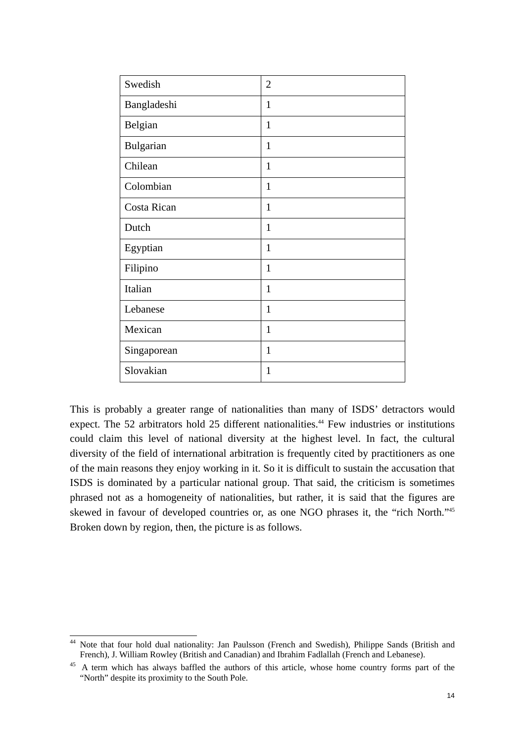| Swedish     | $\mathfrak{2}$ |
|-------------|----------------|
| Bangladeshi | $\mathbf{1}$   |
| Belgian     | $\mathbf{1}$   |
| Bulgarian   | $\mathbf{1}$   |
| Chilean     | $\mathbf{1}$   |
| Colombian   | $\mathbf{1}$   |
| Costa Rican | 1              |
| Dutch       | $\mathbf{1}$   |
| Egyptian    | $\mathbf{1}$   |
| Filipino    | $\mathbf{1}$   |
| Italian     | $\mathbf{1}$   |
| Lebanese    | $\mathbf{1}$   |
| Mexican     | $\mathbf{1}$   |
| Singaporean | $\mathbf{1}$   |
| Slovakian   | $\mathbf{1}$   |

This is probably a greater range of nationalities than many of ISDS' detractors would expect. The 52 arbitrators hold 25 different nationalities.<sup>44</sup> Few industries or institutions could claim this level of national diversity at the highest level. In fact, the cultural diversity of the field of international arbitration is frequently cited by practitioners as one of the main reasons they enjoy working in it. So it is difficult to sustain the accusation that ISDS is dominated by a particular national group. That said, the criticism is sometimes phrased not as a homogeneity of nationalities, but rather, it is said that the figures are skewed in favour of developed countries or, as one NGO phrases it, the "rich North."45 Broken down by region, then, the picture is as follows.

 $\bf 44$ 44 Note that four hold dual nationality: Jan Paulsson (French and Swedish), Philippe Sands (British and French), J. William Rowley (British and Canadian) and Ibrahim Fadlallah (French and Lebanese).

<sup>&</sup>lt;sup>45</sup> A term which has always baffled the authors of this article, whose home country forms part of the "North" despite its proximity to the South Pole.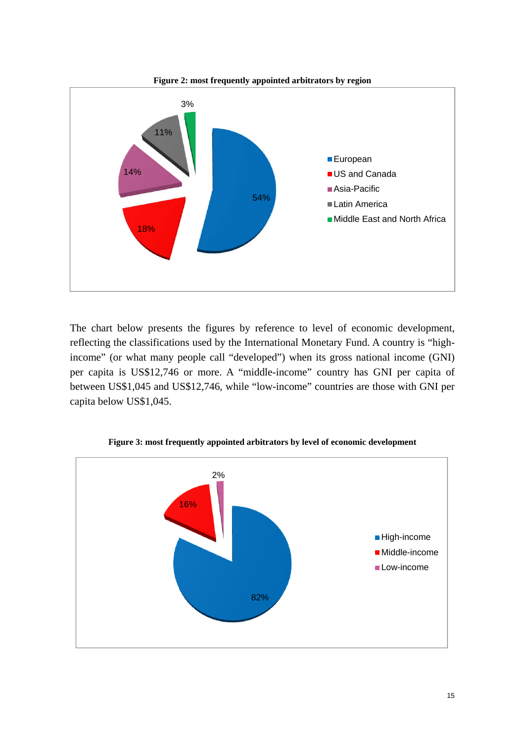

The chart below presents the figures by reference to level of economic development, reflecting the classifications used by the International Monetary Fund. A country is "highincome" (or what many people call "developed") when its gross national income (GNI) per capita is US\$12,746 or more. A "middle-income" country has GNI per capita of between US\$1,045 and US\$12,746, while "low-income" countries are those with GNI per capita below US\$1,045.



**Figure 3: most frequently appointed arbitrators by level of economic development**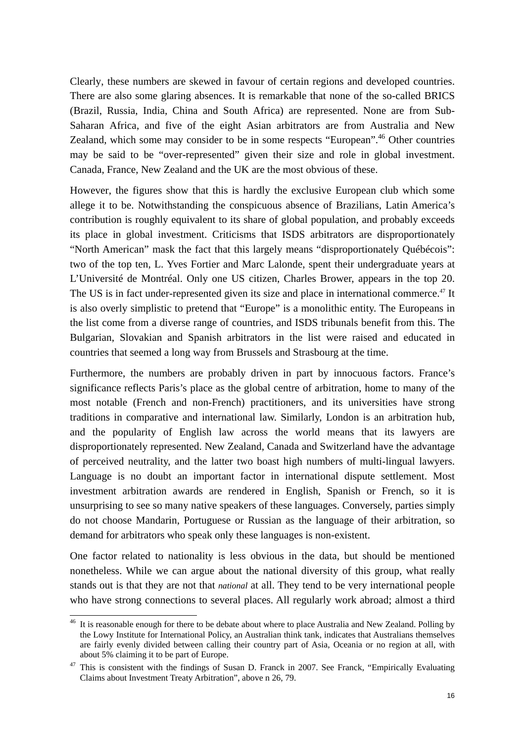Clearly, these numbers are skewed in favour of certain regions and developed countries. There are also some glaring absences. It is remarkable that none of the so-called BRICS (Brazil, Russia, India, China and South Africa) are represented. None are from Sub-Saharan Africa, and five of the eight Asian arbitrators are from Australia and New Zealand, which some may consider to be in some respects "European".<sup>46</sup> Other countries may be said to be "over-represented" given their size and role in global investment. Canada, France, New Zealand and the UK are the most obvious of these.

However, the figures show that this is hardly the exclusive European club which some allege it to be. Notwithstanding the conspicuous absence of Brazilians, Latin America's contribution is roughly equivalent to its share of global population, and probably exceeds its place in global investment. Criticisms that ISDS arbitrators are disproportionately "North American" mask the fact that this largely means "disproportionately Québécois": two of the top ten, L. Yves Fortier and Marc Lalonde, spent their undergraduate years at L'Université de Montréal. Only one US citizen, Charles Brower, appears in the top 20. The US is in fact under-represented given its size and place in international commerce.<sup>47</sup> It is also overly simplistic to pretend that "Europe" is a monolithic entity. The Europeans in the list come from a diverse range of countries, and ISDS tribunals benefit from this. The Bulgarian, Slovakian and Spanish arbitrators in the list were raised and educated in countries that seemed a long way from Brussels and Strasbourg at the time.

Furthermore, the numbers are probably driven in part by innocuous factors. France's significance reflects Paris's place as the global centre of arbitration, home to many of the most notable (French and non-French) practitioners, and its universities have strong traditions in comparative and international law. Similarly, London is an arbitration hub, and the popularity of English law across the world means that its lawyers are disproportionately represented. New Zealand, Canada and Switzerland have the advantage of perceived neutrality, and the latter two boast high numbers of multi-lingual lawyers. Language is no doubt an important factor in international dispute settlement. Most investment arbitration awards are rendered in English, Spanish or French, so it is unsurprising to see so many native speakers of these languages. Conversely, parties simply do not choose Mandarin, Portuguese or Russian as the language of their arbitration, so demand for arbitrators who speak only these languages is non-existent.

One factor related to nationality is less obvious in the data, but should be mentioned nonetheless. While we can argue about the national diversity of this group, what really stands out is that they are not that *national* at all. They tend to be very international people who have strong connections to several places. All regularly work abroad; almost a third

<sup>&</sup>lt;sup>46</sup> It is reasonable enough for there to be debate about where to place Australia and New Zealand. Polling by the Lowy Institute for International Policy, an Australian think tank, indicates that Australians themselves are fairly evenly divided between calling their country part of Asia, Oceania or no region at all, with about 5% claiming it to be part of Europe.

 $47$  This is consistent with the findings of Susan D. Franck in 2007. See Franck, "Empirically Evaluating Claims about Investment Treaty Arbitration", above n 26, 79.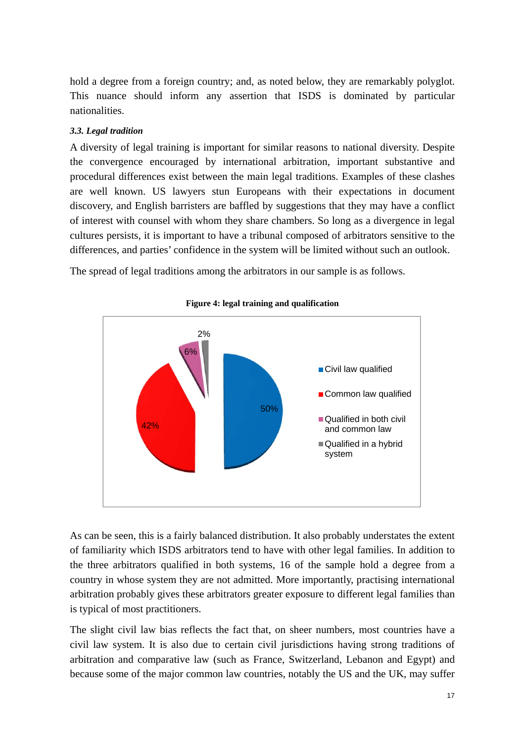hold a degree from a foreign country; and, as noted below, they are remarkably polyglot. This nuance should inform any assertion that ISDS is dominated by particular nationalities.

## *3.3. Legal tradition*

A diversity of legal training is important for similar reasons to national diversity. Despite the convergence encouraged by international arbitration, important substantive and procedural differences exist between the main legal traditions. Examples of these clashes are well known. US lawyers stun Europeans with their expectations in document discovery, and English barristers are baffled by suggestions that they may have a conflict of interest with counsel with whom they share chambers. So long as a divergence in legal cultures persists, it is important to have a tribunal composed of arbitrators sensitive to the differences, and parties' confidence in the system will be limited without such an outlook.

The spread of legal traditions among the arbitrators in our sample is as follows.



#### **Figure 4: legal training and qualification**

As can be seen, this is a fairly balanced distribution. It also probably understates the extent of familiarity which ISDS arbitrators tend to have with other legal families. In addition to the three arbitrators qualified in both systems, 16 of the sample hold a degree from a country in whose system they are not admitted. More importantly, practising international arbitration probably gives these arbitrators greater exposure to different legal families than is typical of most practitioners.

The slight civil law bias reflects the fact that, on sheer numbers, most countries have a civil law system. It is also due to certain civil jurisdictions having strong traditions of arbitration and comparative law (such as France, Switzerland, Lebanon and Egypt) and because some of the major common law countries, notably the US and the UK, may suffer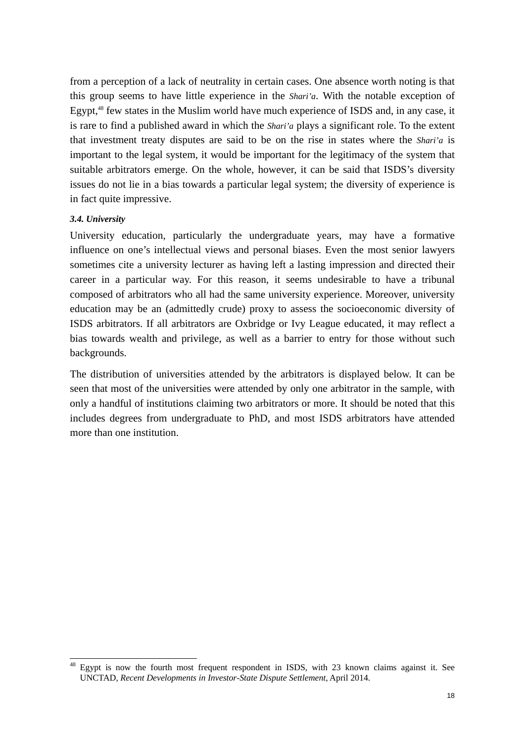from a perception of a lack of neutrality in certain cases. One absence worth noting is that this group seems to have little experience in the *Shari'a*. With the notable exception of Egypt,<sup>48</sup> few states in the Muslim world have much experience of ISDS and, in any case, it is rare to find a published award in which the *Shari'a* plays a significant role. To the extent that investment treaty disputes are said to be on the rise in states where the *Shari'a* is important to the legal system, it would be important for the legitimacy of the system that suitable arbitrators emerge. On the whole, however, it can be said that ISDS's diversity issues do not lie in a bias towards a particular legal system; the diversity of experience is in fact quite impressive.

### *3.4. University*

l

University education, particularly the undergraduate years, may have a formative influence on one's intellectual views and personal biases. Even the most senior lawyers sometimes cite a university lecturer as having left a lasting impression and directed their career in a particular way. For this reason, it seems undesirable to have a tribunal composed of arbitrators who all had the same university experience. Moreover, university education may be an (admittedly crude) proxy to assess the socioeconomic diversity of ISDS arbitrators. If all arbitrators are Oxbridge or Ivy League educated, it may reflect a bias towards wealth and privilege, as well as a barrier to entry for those without such backgrounds.

The distribution of universities attended by the arbitrators is displayed below. It can be seen that most of the universities were attended by only one arbitrator in the sample, with only a handful of institutions claiming two arbitrators or more. It should be noted that this includes degrees from undergraduate to PhD, and most ISDS arbitrators have attended more than one institution.

Egypt is now the fourth most frequent respondent in ISDS, with 23 known claims against it. See UNCTAD, *Recent Developments in Investor-State Dispute Settlement*, April 2014.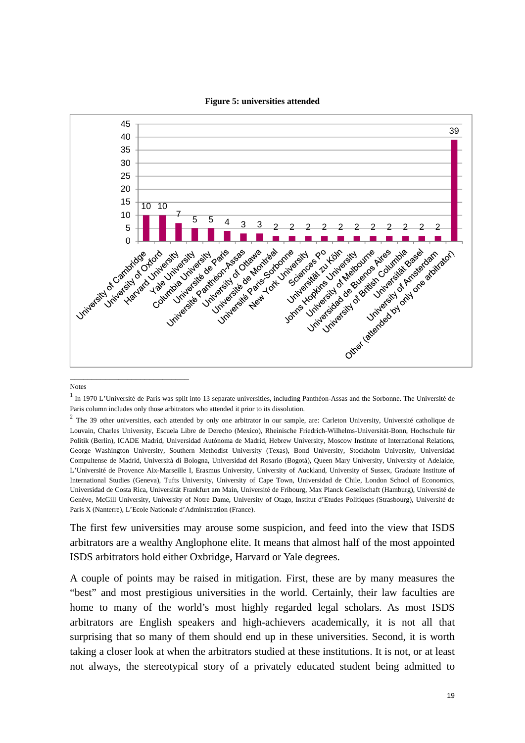

#### **Figure 5: universities attended**

Notes

The first few universities may arouse some suspicion, and feed into the view that ISDS arbitrators are a wealthy Anglophone elite. It means that almost half of the most appointed ISDS arbitrators hold either Oxbridge, Harvard or Yale degrees.

A couple of points may be raised in mitigation. First, these are by many measures the "best" and most prestigious universities in the world. Certainly, their law faculties are home to many of the world's most highly regarded legal scholars. As most ISDS arbitrators are English speakers and high-achievers academically, it is not all that surprising that so many of them should end up in these universities. Second, it is worth taking a closer look at when the arbitrators studied at these institutions. It is not, or at least not always, the stereotypical story of a privately educated student being admitted to

 $<sup>1</sup>$  In 1970 L'Université de Paris was split into 13 separate universities, including Panthéon-Assas and the Sorbonne. The Université de</sup> Paris column includes only those arbitrators who attended it prior to its dissolution.

 $2$  The 39 other universities, each attended by only one arbitrator in our sample, are: Carleton University, Université catholique de Louvain, Charles University, Escuela Libre de Derecho (Mexico), Rheinische Friedrich-Wilhelms-Universität-Bonn, Hochschule für Politik (Berlin), ICADE Madrid, Universidad Autónoma de Madrid, Hebrew University, Moscow Institute of International Relations, George Washington University, Southern Methodist University (Texas), Bond University, Stockholm University, Universidad Compultense de Madrid, Università di Bologna, Universidad del Rosario (Bogotá), Queen Mary University, University of Adelaide, L'Université de Provence Aix-Marseille I, Erasmus University, University of Auckland, University of Sussex, Graduate Institute of International Studies (Geneva), Tufts University, University of Cape Town, Universidad de Chile, London School of Economics, Universidad de Costa Rica, Universität Frankfurt am Main, Université de Fribourg, Max Planck Gesellschaft (Hamburg), Université de Genève, McGill University, University of Notre Dame, University of Otago, Institut d'Etudes Politiques (Strasbourg), Université de Paris X (Nanterre), L'Ecole Nationale d'Administration (France).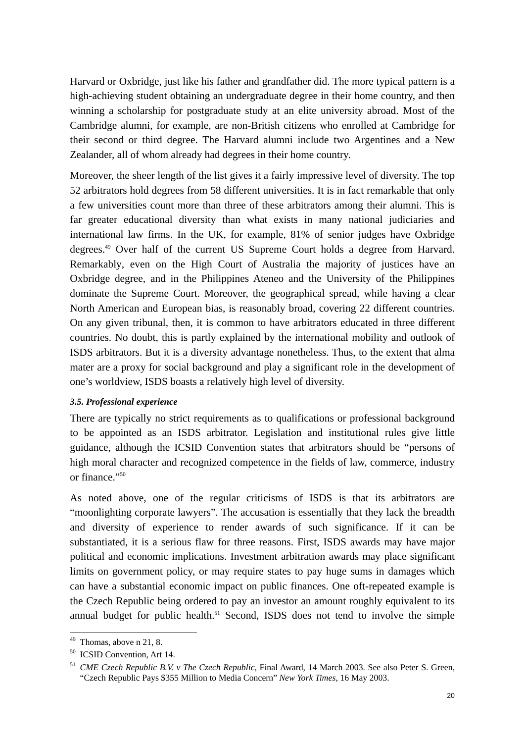Harvard or Oxbridge, just like his father and grandfather did. The more typical pattern is a high-achieving student obtaining an undergraduate degree in their home country, and then winning a scholarship for postgraduate study at an elite university abroad. Most of the Cambridge alumni, for example, are non-British citizens who enrolled at Cambridge for their second or third degree. The Harvard alumni include two Argentines and a New Zealander, all of whom already had degrees in their home country.

Moreover, the sheer length of the list gives it a fairly impressive level of diversity. The top 52 arbitrators hold degrees from 58 different universities. It is in fact remarkable that only a few universities count more than three of these arbitrators among their alumni. This is far greater educational diversity than what exists in many national judiciaries and international law firms. In the UK, for example, 81% of senior judges have Oxbridge degrees.49 Over half of the current US Supreme Court holds a degree from Harvard. Remarkably, even on the High Court of Australia the majority of justices have an Oxbridge degree, and in the Philippines Ateneo and the University of the Philippines dominate the Supreme Court. Moreover, the geographical spread, while having a clear North American and European bias, is reasonably broad, covering 22 different countries. On any given tribunal, then, it is common to have arbitrators educated in three different countries. No doubt, this is partly explained by the international mobility and outlook of ISDS arbitrators. But it is a diversity advantage nonetheless. Thus, to the extent that alma mater are a proxy for social background and play a significant role in the development of one's worldview, ISDS boasts a relatively high level of diversity.

#### *3.5. Professional experience*

There are typically no strict requirements as to qualifications or professional background to be appointed as an ISDS arbitrator. Legislation and institutional rules give little guidance, although the ICSID Convention states that arbitrators should be "persons of high moral character and recognized competence in the fields of law, commerce, industry or finance."50

As noted above, one of the regular criticisms of ISDS is that its arbitrators are "moonlighting corporate lawyers". The accusation is essentially that they lack the breadth and diversity of experience to render awards of such significance. If it can be substantiated, it is a serious flaw for three reasons. First, ISDS awards may have major political and economic implications. Investment arbitration awards may place significant limits on government policy, or may require states to pay huge sums in damages which can have a substantial economic impact on public finances. One oft-repeated example is the Czech Republic being ordered to pay an investor an amount roughly equivalent to its annual budget for public health.<sup>51</sup> Second, ISDS does not tend to involve the simple

 $49$  Thomas, above n 21, 8.

<sup>50</sup> ICSID Convention, Art 14.

<sup>51</sup> *CME Czech Republic B.V. v The Czech Republic*, Final Award, 14 March 2003. See also Peter S. Green, "Czech Republic Pays \$355 Million to Media Concern" *New York Times*, 16 May 2003.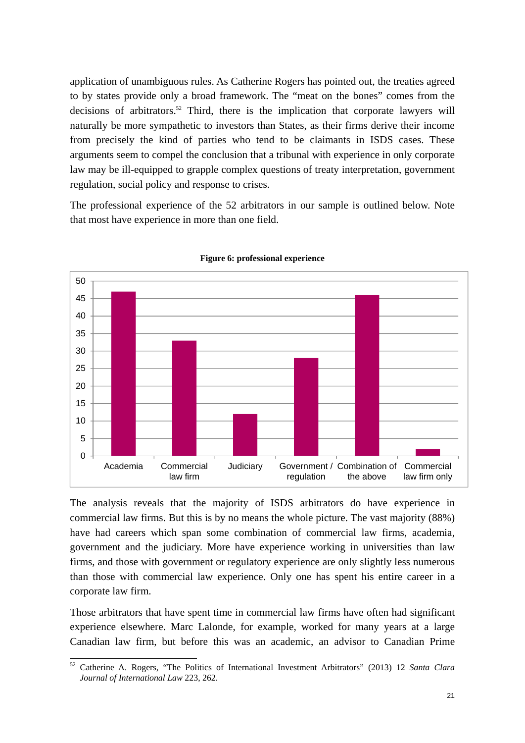application of unambiguous rules. As Catherine Rogers has pointed out, the treaties agreed to by states provide only a broad framework. The "meat on the bones" comes from the decisions of arbitrators.<sup>52</sup> Third, there is the implication that corporate lawyers will naturally be more sympathetic to investors than States, as their firms derive their income from precisely the kind of parties who tend to be claimants in ISDS cases. These arguments seem to compel the conclusion that a tribunal with experience in only corporate law may be ill-equipped to grapple complex questions of treaty interpretation, government regulation, social policy and response to crises.

The professional experience of the 52 arbitrators in our sample is outlined below. Note that most have experience in more than one field.



**Figure 6: professional experience** 

The analysis reveals that the majority of ISDS arbitrators do have experience in commercial law firms. But this is by no means the whole picture. The vast majority (88%) have had careers which span some combination of commercial law firms, academia, government and the judiciary. More have experience working in universities than law firms, and those with government or regulatory experience are only slightly less numerous than those with commercial law experience. Only one has spent his entire career in a corporate law firm.

Those arbitrators that have spent time in commercial law firms have often had significant experience elsewhere. Marc Lalonde, for example, worked for many years at a large Canadian law firm, but before this was an academic, an advisor to Canadian Prime

<sup>52</sup> Catherine A. Rogers, "The Politics of International Investment Arbitrators" (2013) 12 *Santa Clara Journal of International Law* 223, 262.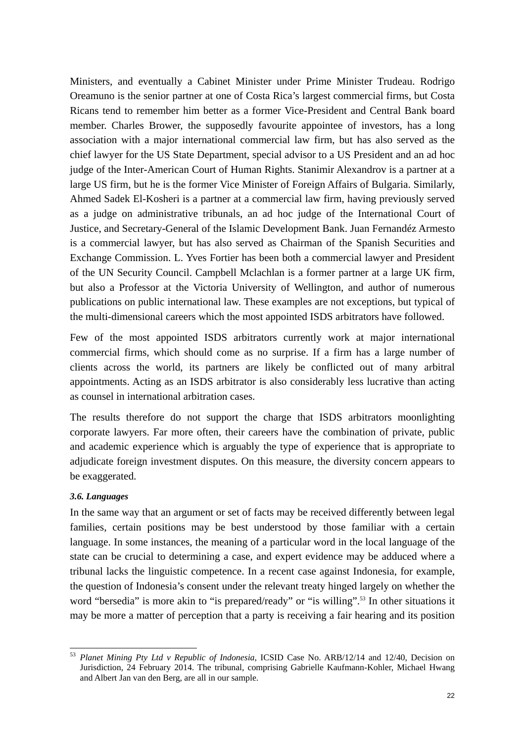Ministers, and eventually a Cabinet Minister under Prime Minister Trudeau. Rodrigo Oreamuno is the senior partner at one of Costa Rica's largest commercial firms, but Costa Ricans tend to remember him better as a former Vice-President and Central Bank board member. Charles Brower, the supposedly favourite appointee of investors, has a long association with a major international commercial law firm, but has also served as the chief lawyer for the US State Department, special advisor to a US President and an ad hoc judge of the Inter-American Court of Human Rights. Stanimir Alexandrov is a partner at a large US firm, but he is the former Vice Minister of Foreign Affairs of Bulgaria. Similarly, Ahmed Sadek El-Kosheri is a partner at a commercial law firm, having previously served as a judge on administrative tribunals, an ad hoc judge of the International Court of Justice, and Secretary-General of the Islamic Development Bank. Juan Fernandéz Armesto is a commercial lawyer, but has also served as Chairman of the Spanish Securities and Exchange Commission. L. Yves Fortier has been both a commercial lawyer and President of the UN Security Council. Campbell Mclachlan is a former partner at a large UK firm, but also a Professor at the Victoria University of Wellington, and author of numerous publications on public international law. These examples are not exceptions, but typical of the multi-dimensional careers which the most appointed ISDS arbitrators have followed.

Few of the most appointed ISDS arbitrators currently work at major international commercial firms, which should come as no surprise. If a firm has a large number of clients across the world, its partners are likely be conflicted out of many arbitral appointments. Acting as an ISDS arbitrator is also considerably less lucrative than acting as counsel in international arbitration cases.

The results therefore do not support the charge that ISDS arbitrators moonlighting corporate lawyers. Far more often, their careers have the combination of private, public and academic experience which is arguably the type of experience that is appropriate to adjudicate foreign investment disputes. On this measure, the diversity concern appears to be exaggerated.

#### *3.6. Languages*

In the same way that an argument or set of facts may be received differently between legal families, certain positions may be best understood by those familiar with a certain language. In some instances, the meaning of a particular word in the local language of the state can be crucial to determining a case, and expert evidence may be adduced where a tribunal lacks the linguistic competence. In a recent case against Indonesia, for example, the question of Indonesia's consent under the relevant treaty hinged largely on whether the word "bersedia" is more akin to "is prepared/ready" or "is willing".<sup>53</sup> In other situations it may be more a matter of perception that a party is receiving a fair hearing and its position

l <sup>53</sup> *Planet Mining Pty Ltd v Republic of Indonesia*, ICSID Case No. ARB/12/14 and 12/40, Decision on Jurisdiction, 24 February 2014. The tribunal, comprising Gabrielle Kaufmann-Kohler, Michael Hwang and Albert Jan van den Berg, are all in our sample.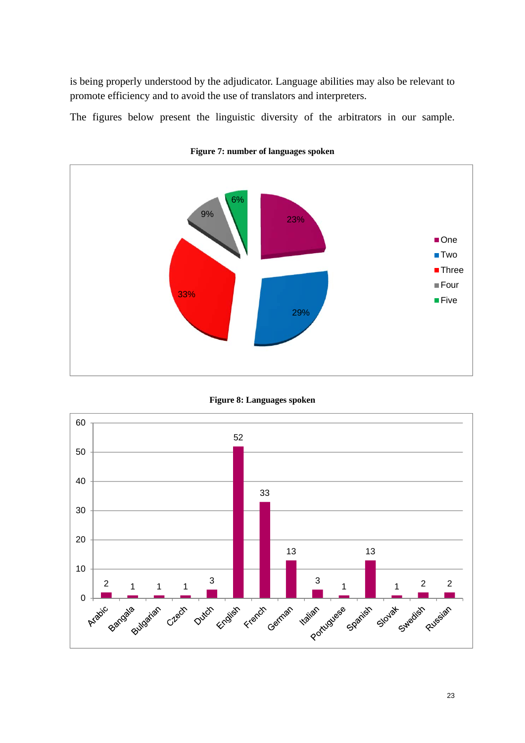is being properly understood by the adjudicator. Language abilities may also be relevant to promote efficiency and to avoid the use of translators and interpreters.

The figures below present the linguistic diversity of the arbitrators in our sample.



**Figure 7: number of languages spoken** 



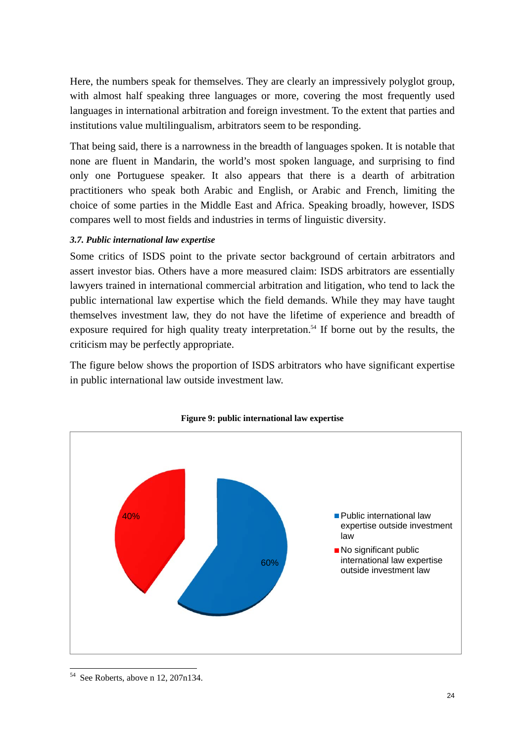Here, the numbers speak for themselves. They are clearly an impressively polyglot group, with almost half speaking three languages or more, covering the most frequently used languages in international arbitration and foreign investment. To the extent that parties and institutions value multilingualism, arbitrators seem to be responding.

That being said, there is a narrowness in the breadth of languages spoken. It is notable that none are fluent in Mandarin, the world's most spoken language, and surprising to find only one Portuguese speaker. It also appears that there is a dearth of arbitration practitioners who speak both Arabic and English, or Arabic and French, limiting the choice of some parties in the Middle East and Africa. Speaking broadly, however, ISDS compares well to most fields and industries in terms of linguistic diversity.

## *3.7. Public international law expertise*

Some critics of ISDS point to the private sector background of certain arbitrators and assert investor bias. Others have a more measured claim: ISDS arbitrators are essentially lawyers trained in international commercial arbitration and litigation, who tend to lack the public international law expertise which the field demands. While they may have taught themselves investment law, they do not have the lifetime of experience and breadth of exposure required for high quality treaty interpretation.<sup>54</sup> If borne out by the results, the criticism may be perfectly appropriate.

The figure below shows the proportion of ISDS arbitrators who have significant expertise in public international law outside investment law.





<sup>54</sup> See Roberts, above n 12, 207n134.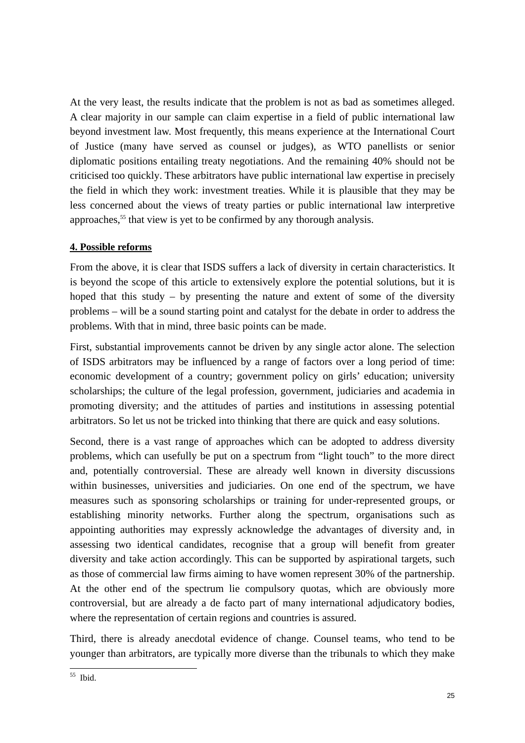At the very least, the results indicate that the problem is not as bad as sometimes alleged. A clear majority in our sample can claim expertise in a field of public international law beyond investment law. Most frequently, this means experience at the International Court of Justice (many have served as counsel or judges), as WTO panellists or senior diplomatic positions entailing treaty negotiations. And the remaining 40% should not be criticised too quickly. These arbitrators have public international law expertise in precisely the field in which they work: investment treaties. While it is plausible that they may be less concerned about the views of treaty parties or public international law interpretive approaches,<sup>55</sup> that view is yet to be confirmed by any thorough analysis.

# **4. Possible reforms**

From the above, it is clear that ISDS suffers a lack of diversity in certain characteristics. It is beyond the scope of this article to extensively explore the potential solutions, but it is hoped that this study – by presenting the nature and extent of some of the diversity problems – will be a sound starting point and catalyst for the debate in order to address the problems. With that in mind, three basic points can be made.

First, substantial improvements cannot be driven by any single actor alone. The selection of ISDS arbitrators may be influenced by a range of factors over a long period of time: economic development of a country; government policy on girls' education; university scholarships; the culture of the legal profession, government, judiciaries and academia in promoting diversity; and the attitudes of parties and institutions in assessing potential arbitrators. So let us not be tricked into thinking that there are quick and easy solutions.

Second, there is a vast range of approaches which can be adopted to address diversity problems, which can usefully be put on a spectrum from "light touch" to the more direct and, potentially controversial. These are already well known in diversity discussions within businesses, universities and judiciaries. On one end of the spectrum, we have measures such as sponsoring scholarships or training for under-represented groups, or establishing minority networks. Further along the spectrum, organisations such as appointing authorities may expressly acknowledge the advantages of diversity and, in assessing two identical candidates, recognise that a group will benefit from greater diversity and take action accordingly. This can be supported by aspirational targets, such as those of commercial law firms aiming to have women represent 30% of the partnership. At the other end of the spectrum lie compulsory quotas, which are obviously more controversial, but are already a de facto part of many international adjudicatory bodies, where the representation of certain regions and countries is assured.

Third, there is already anecdotal evidence of change. Counsel teams, who tend to be younger than arbitrators, are typically more diverse than the tribunals to which they make

l 55 Ibid.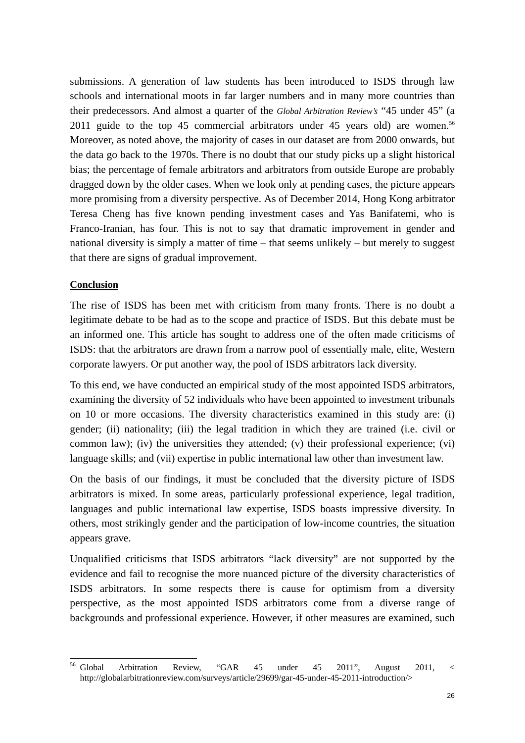submissions. A generation of law students has been introduced to ISDS through law schools and international moots in far larger numbers and in many more countries than their predecessors. And almost a quarter of the *Global Arbitration Review's* "45 under 45" (a 2011 guide to the top 45 commercial arbitrators under 45 years old) are women.<sup>56</sup> Moreover, as noted above, the majority of cases in our dataset are from 2000 onwards, but the data go back to the 1970s. There is no doubt that our study picks up a slight historical bias; the percentage of female arbitrators and arbitrators from outside Europe are probably dragged down by the older cases. When we look only at pending cases, the picture appears more promising from a diversity perspective. As of December 2014, Hong Kong arbitrator Teresa Cheng has five known pending investment cases and Yas Banifatemi, who is Franco-Iranian, has four. This is not to say that dramatic improvement in gender and national diversity is simply a matter of time – that seems unlikely – but merely to suggest that there are signs of gradual improvement.

### **Conclusion**

The rise of ISDS has been met with criticism from many fronts. There is no doubt a legitimate debate to be had as to the scope and practice of ISDS. But this debate must be an informed one. This article has sought to address one of the often made criticisms of ISDS: that the arbitrators are drawn from a narrow pool of essentially male, elite, Western corporate lawyers. Or put another way, the pool of ISDS arbitrators lack diversity.

To this end, we have conducted an empirical study of the most appointed ISDS arbitrators, examining the diversity of 52 individuals who have been appointed to investment tribunals on 10 or more occasions. The diversity characteristics examined in this study are: (i) gender; (ii) nationality; (iii) the legal tradition in which they are trained (i.e. civil or common law); (iv) the universities they attended; (v) their professional experience; (vi) language skills; and (vii) expertise in public international law other than investment law.

On the basis of our findings, it must be concluded that the diversity picture of ISDS arbitrators is mixed. In some areas, particularly professional experience, legal tradition, languages and public international law expertise, ISDS boasts impressive diversity. In others, most strikingly gender and the participation of low-income countries, the situation appears grave.

Unqualified criticisms that ISDS arbitrators "lack diversity" are not supported by the evidence and fail to recognise the more nuanced picture of the diversity characteristics of ISDS arbitrators. In some respects there is cause for optimism from a diversity perspective, as the most appointed ISDS arbitrators come from a diverse range of backgrounds and professional experience. However, if other measures are examined, such

<sup>&</sup>lt;sup>56</sup> Global 56 Global Arbitration Review, "GAR 45 under 45 2011", August 2011, < http://globalarbitrationreview.com/surveys/article/29699/gar-45-under-45-2011-introduction/>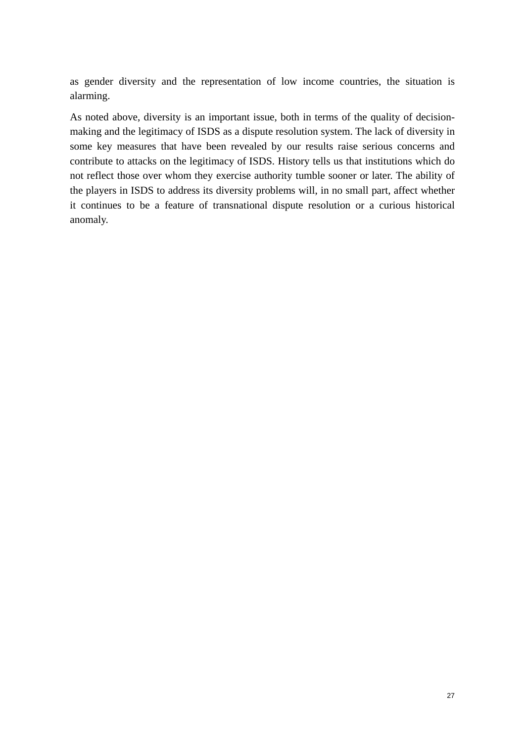as gender diversity and the representation of low income countries, the situation is alarming.

As noted above, diversity is an important issue, both in terms of the quality of decisionmaking and the legitimacy of ISDS as a dispute resolution system. The lack of diversity in some key measures that have been revealed by our results raise serious concerns and contribute to attacks on the legitimacy of ISDS. History tells us that institutions which do not reflect those over whom they exercise authority tumble sooner or later. The ability of the players in ISDS to address its diversity problems will, in no small part, affect whether it continues to be a feature of transnational dispute resolution or a curious historical anomaly.